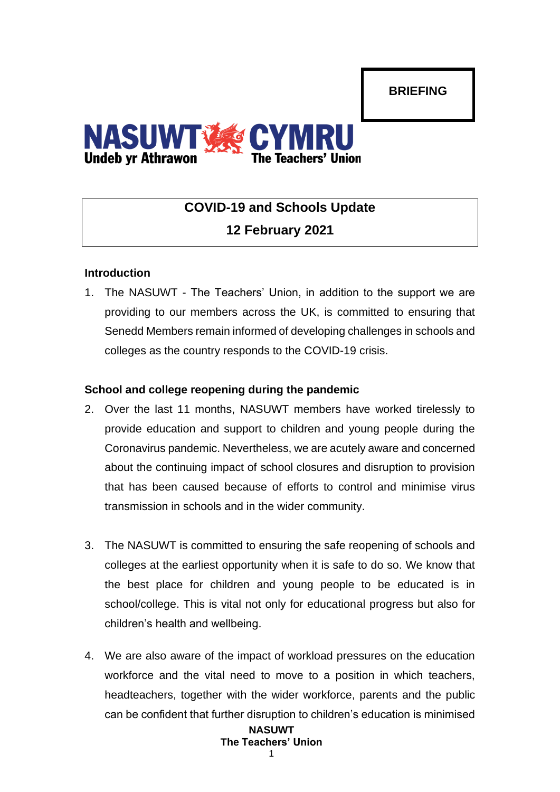**BRIEFING**



# **COVID-19 and Schools Update 12 February 2021**

## **Introduction**

1. The NASUWT - The Teachers' Union, in addition to the support we are providing to our members across the UK, is committed to ensuring that Senedd Members remain informed of developing challenges in schools and colleges as the country responds to the COVID-19 crisis.

## **School and college reopening during the pandemic**

- 2. Over the last 11 months, NASUWT members have worked tirelessly to provide education and support to children and young people during the Coronavirus pandemic. Nevertheless, we are acutely aware and concerned about the continuing impact of school closures and disruption to provision that has been caused because of efforts to control and minimise virus transmission in schools and in the wider community.
- 3. The NASUWT is committed to ensuring the safe reopening of schools and colleges at the earliest opportunity when it is safe to do so. We know that the best place for children and young people to be educated is in school/college. This is vital not only for educational progress but also for children's health and wellbeing.
- 4. We are also aware of the impact of workload pressures on the education workforce and the vital need to move to a position in which teachers, headteachers, together with the wider workforce, parents and the public can be confident that further disruption to children's education is minimised

#### **NASUWT The Teachers' Union** 1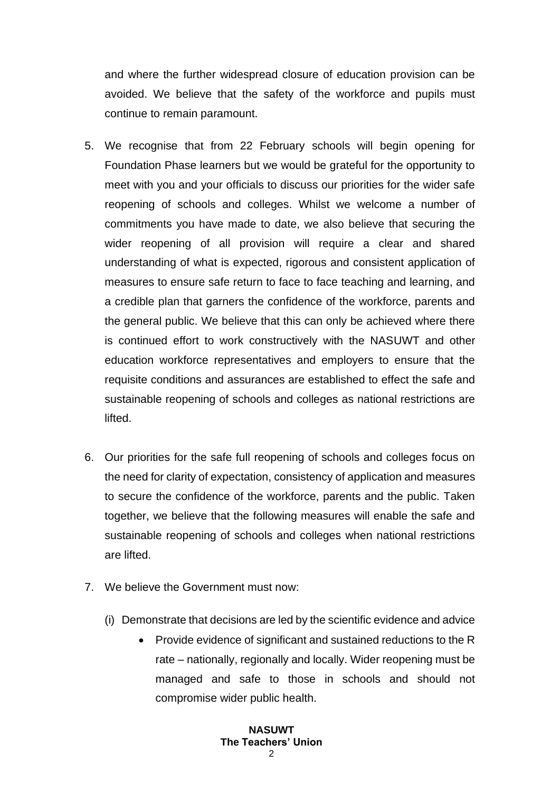and where the further widespread closure of education provision can be avoided. We believe that the safety of the workforce and pupils must continue to remain paramount.

- 5. We recognise that from 22 February schools will begin opening for Foundation Phase learners but we would be grateful for the opportunity to meet with you and your officials to discuss our priorities for the wider safe reopening of schools and colleges. Whilst we welcome a number of commitments you have made to date, we also believe that securing the wider reopening of all provision will require a clear and shared understanding of what is expected, rigorous and consistent application of measures to ensure safe return to face to face teaching and learning, and a credible plan that garners the confidence of the workforce, parents and the general public. We believe that this can only be achieved where there is continued effort to work constructively with the NASUWT and other education workforce representatives and employers to ensure that the requisite conditions and assurances are established to effect the safe and sustainable reopening of schools and colleges as national restrictions are lifted.
- 6. Our priorities for the safe full reopening of schools and colleges focus on the need for clarity of expectation, consistency of application and measures to secure the confidence of the workforce, parents and the public. Taken together, we believe that the following measures will enable the safe and sustainable reopening of schools and colleges when national restrictions are lifted.
- 7. We believe the Government must now:
	- (i) Demonstrate that decisions are led by the scientific evidence and advice
		- Provide evidence of significant and sustained reductions to the R rate – nationally, regionally and locally. Wider reopening must be managed and safe to those in schools and should not compromise wider public health.

#### **NASUWT The Teachers' Union**  $\mathcal{L}$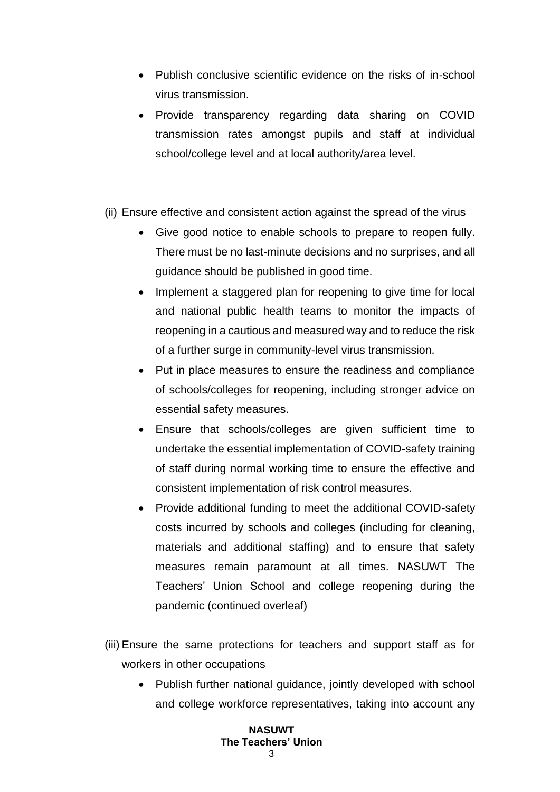- Publish conclusive scientific evidence on the risks of in-school virus transmission.
- Provide transparency regarding data sharing on COVID transmission rates amongst pupils and staff at individual school/college level and at local authority/area level.
- (ii) Ensure effective and consistent action against the spread of the virus
	- Give good notice to enable schools to prepare to reopen fully. There must be no last-minute decisions and no surprises, and all guidance should be published in good time.
	- Implement a staggered plan for reopening to give time for local and national public health teams to monitor the impacts of reopening in a cautious and measured way and to reduce the risk of a further surge in community-level virus transmission.
	- Put in place measures to ensure the readiness and compliance of schools/colleges for reopening, including stronger advice on essential safety measures.
	- Ensure that schools/colleges are given sufficient time to undertake the essential implementation of COVID-safety training of staff during normal working time to ensure the effective and consistent implementation of risk control measures.
	- Provide additional funding to meet the additional COVID-safety costs incurred by schools and colleges (including for cleaning, materials and additional staffing) and to ensure that safety measures remain paramount at all times. NASUWT The Teachers' Union School and college reopening during the pandemic (continued overleaf)
- (iii) Ensure the same protections for teachers and support staff as for workers in other occupations
	- Publish further national guidance, jointly developed with school and college workforce representatives, taking into account any

#### **NASUWT The Teachers' Union**  $\mathbf{c}$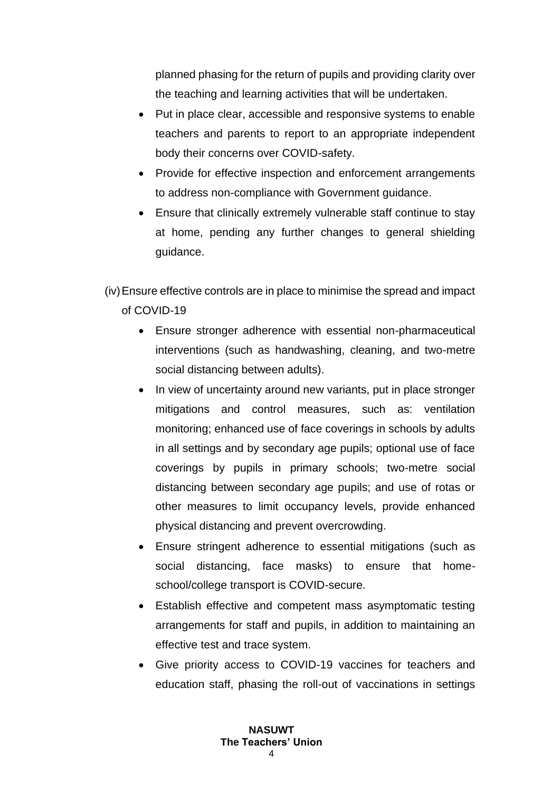planned phasing for the return of pupils and providing clarity over the teaching and learning activities that will be undertaken.

- Put in place clear, accessible and responsive systems to enable teachers and parents to report to an appropriate independent body their concerns over COVID-safety.
- Provide for effective inspection and enforcement arrangements to address non-compliance with Government guidance.
- Ensure that clinically extremely vulnerable staff continue to stay at home, pending any further changes to general shielding guidance.

(iv)Ensure effective controls are in place to minimise the spread and impact of COVID-19

- Ensure stronger adherence with essential non-pharmaceutical interventions (such as handwashing, cleaning, and two-metre social distancing between adults).
- In view of uncertainty around new variants, put in place stronger mitigations and control measures, such as: ventilation monitoring; enhanced use of face coverings in schools by adults in all settings and by secondary age pupils; optional use of face coverings by pupils in primary schools; two-metre social distancing between secondary age pupils; and use of rotas or other measures to limit occupancy levels, provide enhanced physical distancing and prevent overcrowding.
- Ensure stringent adherence to essential mitigations (such as social distancing, face masks) to ensure that homeschool/college transport is COVID-secure.
- Establish effective and competent mass asymptomatic testing arrangements for staff and pupils, in addition to maintaining an effective test and trace system.
- Give priority access to COVID-19 vaccines for teachers and education staff, phasing the roll-out of vaccinations in settings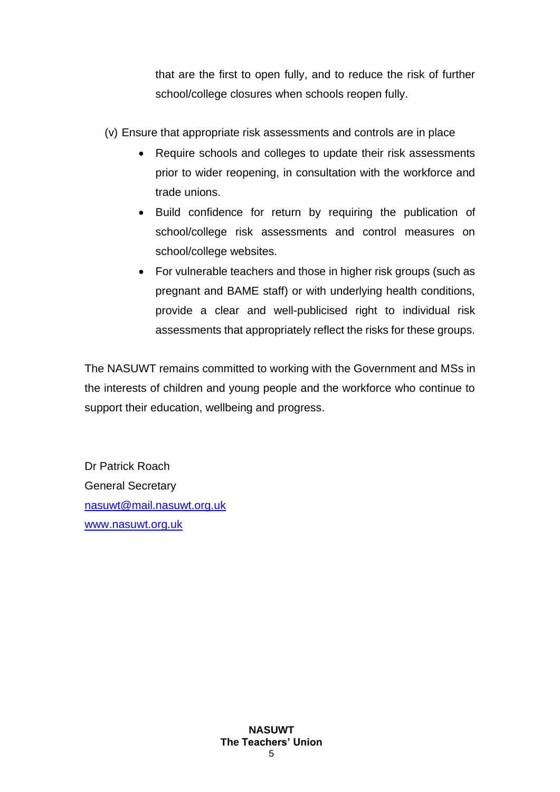that are the first to open fully, and to reduce the risk of further school/college closures when schools reopen fully.

(v) Ensure that appropriate risk assessments and controls are in place

- Require schools and colleges to update their risk assessments prior to wider reopening, in consultation with the workforce and trade unions.
- Build confidence for return by requiring the publication of school/college risk assessments and control measures on school/college websites.
- For vulnerable teachers and those in higher risk groups (such as pregnant and BAME staff) or with underlying health conditions, provide a clear and well-publicised right to individual risk assessments that appropriately reflect the risks for these groups.

The NASUWT remains committed to working with the Government and MSs in the interests of children and young people and the workforce who continue to support their education, wellbeing and progress.

Dr Patrick Roach General Secretary [nasuwt@mail.nasuwt.org.uk](mailto:nasuwt@mail.nasuwt.org.uk) [www.nasuwt.org.uk](http://www.nasuwt.org.uk/)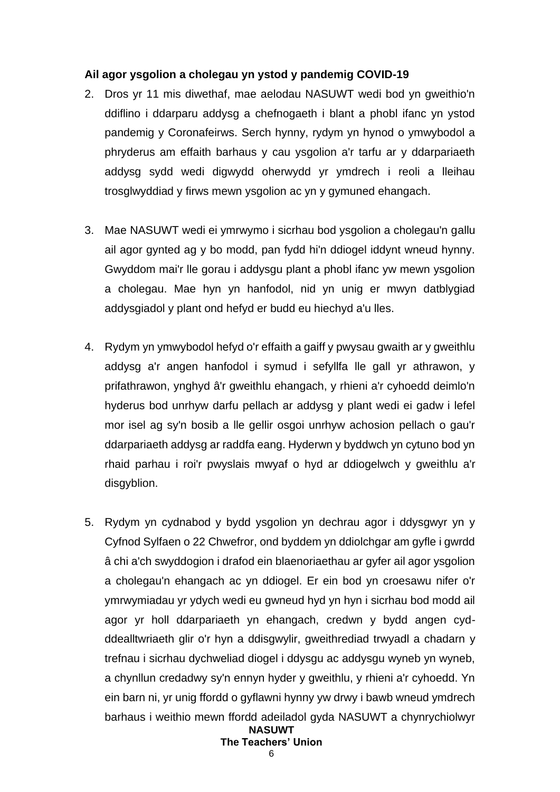### **Ail agor ysgolion a cholegau yn ystod y pandemig COVID-19**

- 2. Dros yr 11 mis diwethaf, mae aelodau NASUWT wedi bod yn gweithio'n ddiflino i ddarparu addysg a chefnogaeth i blant a phobl ifanc yn ystod pandemig y Coronafeirws. Serch hynny, rydym yn hynod o ymwybodol a phryderus am effaith barhaus y cau ysgolion a'r tarfu ar y ddarpariaeth addysg sydd wedi digwydd oherwydd yr ymdrech i reoli a lleihau trosglwyddiad y firws mewn ysgolion ac yn y gymuned ehangach.
- 3. Mae NASUWT wedi ei ymrwymo i sicrhau bod ysgolion a cholegau'n gallu ail agor gynted ag y bo modd, pan fydd hi'n ddiogel iddynt wneud hynny. Gwyddom mai'r lle gorau i addysgu plant a phobl ifanc yw mewn ysgolion a cholegau. Mae hyn yn hanfodol, nid yn unig er mwyn datblygiad addysgiadol y plant ond hefyd er budd eu hiechyd a'u lles.
- 4. Rydym yn ymwybodol hefyd o'r effaith a gaiff y pwysau gwaith ar y gweithlu addysg a'r angen hanfodol i symud i sefyllfa lle gall yr athrawon, y prifathrawon, ynghyd â'r gweithlu ehangach, y rhieni a'r cyhoedd deimlo'n hyderus bod unrhyw darfu pellach ar addysg y plant wedi ei gadw i lefel mor isel ag sy'n bosib a lle gellir osgoi unrhyw achosion pellach o gau'r ddarpariaeth addysg ar raddfa eang. Hyderwn y byddwch yn cytuno bod yn rhaid parhau i roi'r pwyslais mwyaf o hyd ar ddiogelwch y gweithlu a'r disgyblion.
- **NASUWT** 5. Rydym yn cydnabod y bydd ysgolion yn dechrau agor i ddysgwyr yn y Cyfnod Sylfaen o 22 Chwefror, ond byddem yn ddiolchgar am gyfle i gwrdd â chi a'ch swyddogion i drafod ein blaenoriaethau ar gyfer ail agor ysgolion a cholegau'n ehangach ac yn ddiogel. Er ein bod yn croesawu nifer o'r ymrwymiadau yr ydych wedi eu gwneud hyd yn hyn i sicrhau bod modd ail agor yr holl ddarpariaeth yn ehangach, credwn y bydd angen cydddealltwriaeth glir o'r hyn a ddisgwylir, gweithrediad trwyadl a chadarn y trefnau i sicrhau dychweliad diogel i ddysgu ac addysgu wyneb yn wyneb, a chynllun credadwy sy'n ennyn hyder y gweithlu, y rhieni a'r cyhoedd. Yn ein barn ni, yr unig ffordd o gyflawni hynny yw drwy i bawb wneud ymdrech barhaus i weithio mewn ffordd adeiladol gyda NASUWT a chynrychiolwyr

## **The Teachers' Union**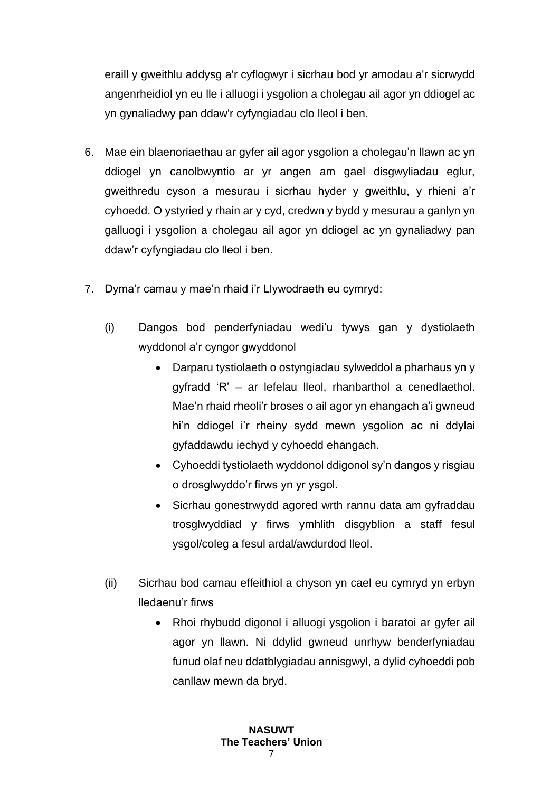eraill y gweithlu addysg a'r cyflogwyr i sicrhau bod yr amodau a'r sicrwydd angenrheidiol yn eu lle i alluogi i ysgolion a cholegau ail agor yn ddiogel ac yn gynaliadwy pan ddaw'r cyfyngiadau clo lleol i ben.

- 6. Mae ein blaenoriaethau ar gyfer ail agor ysgolion a cholegau'n llawn ac yn ddiogel yn canolbwyntio ar yr angen am gael disgwyliadau eglur, gweithredu cyson a mesurau i sicrhau hyder y gweithlu, y rhieni a'r cyhoedd. O ystyried y rhain ar y cyd, credwn y bydd y mesurau a ganlyn yn galluogi i ysgolion a cholegau ail agor yn ddiogel ac yn gynaliadwy pan ddaw'r cyfyngiadau clo lleol i ben.
- 7. Dyma'r camau y mae'n rhaid i'r Llywodraeth eu cymryd:
	- (i) Dangos bod penderfyniadau wedi'u tywys gan y dystiolaeth wyddonol a'r cyngor gwyddonol
		- Darparu tystiolaeth o ostyngiadau sylweddol a pharhaus yn y gyfradd 'R' – ar lefelau lleol, rhanbarthol a cenedlaethol. Mae'n rhaid rheoli'r broses o ail agor yn ehangach a'i gwneud hi'n ddiogel i'r rheiny sydd mewn ysgolion ac ni ddylai gyfaddawdu iechyd y cyhoedd ehangach.
		- Cyhoeddi tystiolaeth wyddonol ddigonol sy'n dangos y risgiau o drosglwyddo'r firws yn yr ysgol.
		- Sicrhau gonestrwydd agored wrth rannu data am gyfraddau trosglwyddiad y firws ymhlith disgyblion a staff fesul ysgol/coleg a fesul ardal/awdurdod lleol.
	- (ii) Sicrhau bod camau effeithiol a chyson yn cael eu cymryd yn erbyn lledaenu'r firws
		- Rhoi rhybudd digonol i alluogi ysgolion i baratoi ar gyfer ail agor yn llawn. Ni ddylid gwneud unrhyw benderfyniadau funud olaf neu ddatblygiadau annisgwyl, a dylid cyhoeddi pob canllaw mewn da bryd.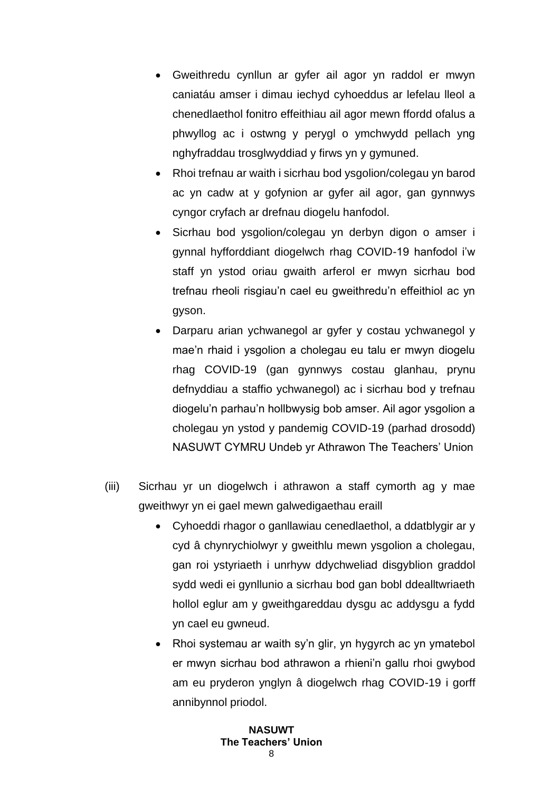- Gweithredu cynllun ar gyfer ail agor yn raddol er mwyn caniatáu amser i dimau iechyd cyhoeddus ar lefelau lleol a chenedlaethol fonitro effeithiau ail agor mewn ffordd ofalus a phwyllog ac i ostwng y perygl o ymchwydd pellach yng nghyfraddau trosglwyddiad y firws yn y gymuned.
- Rhoi trefnau ar waith i sicrhau bod vsgolion/colegau yn barod ac yn cadw at y gofynion ar gyfer ail agor, gan gynnwys cyngor cryfach ar drefnau diogelu hanfodol.
- Sicrhau bod ysgolion/colegau yn derbyn digon o amser i gynnal hyfforddiant diogelwch rhag COVID-19 hanfodol i'w staff yn ystod oriau gwaith arferol er mwyn sicrhau bod trefnau rheoli risgiau'n cael eu gweithredu'n effeithiol ac yn gyson.
- Darparu arian ychwanegol ar gyfer y costau ychwanegol y mae'n rhaid i ysgolion a cholegau eu talu er mwyn diogelu rhag COVID-19 (gan gynnwys costau glanhau, prynu defnyddiau a staffio ychwanegol) ac i sicrhau bod y trefnau diogelu'n parhau'n hollbwysig bob amser. Ail agor ysgolion a cholegau yn ystod y pandemig COVID-19 (parhad drosodd) NASUWT CYMRU Undeb yr Athrawon The Teachers' Union
- (iii) Sicrhau yr un diogelwch i athrawon a staff cymorth ag y mae gweithwyr yn ei gael mewn galwedigaethau eraill
	- Cyhoeddi rhagor o ganllawiau cenedlaethol, a ddatblygir ar y cyd â chynrychiolwyr y gweithlu mewn ysgolion a cholegau, gan roi ystyriaeth i unrhyw ddychweliad disgyblion graddol sydd wedi ei gynllunio a sicrhau bod gan bobl ddealltwriaeth hollol eglur am y gweithgareddau dysgu ac addysgu a fydd yn cael eu gwneud.
	- Rhoi systemau ar waith sy'n glir, yn hygyrch ac yn ymatebol er mwyn sicrhau bod athrawon a rhieni'n gallu rhoi gwybod am eu pryderon ynglyn â diogelwch rhag COVID-19 i gorff annibynnol priodol.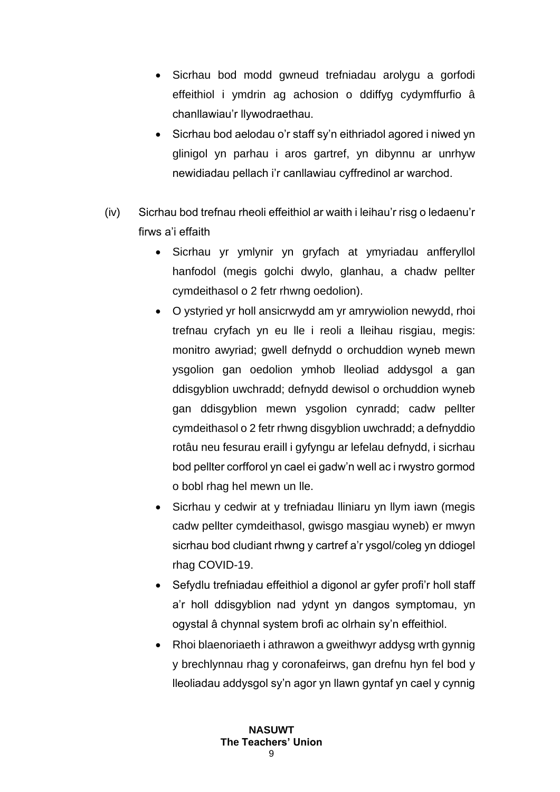- Sicrhau bod modd gwneud trefniadau arolygu a gorfodi effeithiol i ymdrin ag achosion o ddiffyg cydymffurfio â chanllawiau'r llywodraethau.
- Sicrhau bod aelodau o'r staff sy'n eithriadol agored i niwed yn glinigol yn parhau i aros gartref, yn dibynnu ar unrhyw newidiadau pellach i'r canllawiau cyffredinol ar warchod.
- (iv) Sicrhau bod trefnau rheoli effeithiol ar waith i leihau'r risg o ledaenu'r firws a'i effaith
	- Sicrhau yr ymlynir yn gryfach at ymyriadau anfferyllol hanfodol (megis golchi dwylo, glanhau, a chadw pellter cymdeithasol o 2 fetr rhwng oedolion).
	- O ystyried yr holl ansicrwydd am yr amrywiolion newydd, rhoi trefnau cryfach yn eu lle i reoli a lleihau risgiau, megis: monitro awyriad; gwell defnydd o orchuddion wyneb mewn ysgolion gan oedolion ymhob lleoliad addysgol a gan ddisgyblion uwchradd; defnydd dewisol o orchuddion wyneb gan ddisgyblion mewn ysgolion cynradd; cadw pellter cymdeithasol o 2 fetr rhwng disgyblion uwchradd; a defnyddio rotâu neu fesurau eraill i gyfyngu ar lefelau defnydd, i sicrhau bod pellter corfforol yn cael ei gadw'n well ac i rwystro gormod o bobl rhag hel mewn un lle.
	- Sicrhau y cedwir at y trefniadau lliniaru yn llym iawn (megis cadw pellter cymdeithasol, gwisgo masgiau wyneb) er mwyn sicrhau bod cludiant rhwng y cartref a'r ysgol/coleg yn ddiogel rhag COVID-19.
	- Sefydlu trefniadau effeithiol a digonol ar gyfer profi'r holl staff a'r holl ddisgyblion nad ydynt yn dangos symptomau, yn ogystal â chynnal system brofi ac olrhain sy'n effeithiol.
	- Rhoi blaenoriaeth i athrawon a gweithwyr addysg wrth gynnig y brechlynnau rhag y coronafeirws, gan drefnu hyn fel bod y lleoliadau addysgol sy'n agor yn llawn gyntaf yn cael y cynnig